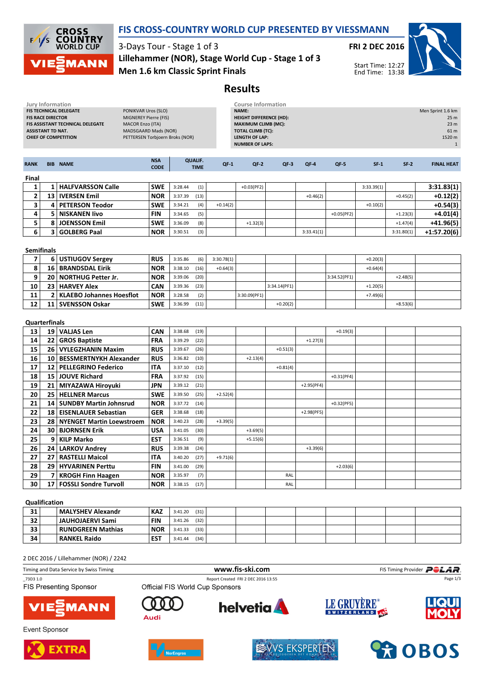

**FIS RACE DIRECTOR MIGNEREY Pierre (FIS)**<br>**FIS ASSISTANT TECHNICAL DELEGATE** MACOR Enzo (ITA)

## FIS CROSS-COUNTRY WORLD CUP PRESENTED BY VIESSMANN

3-Days Tour - Stage 1 of 3 Men 1.6 km Classic Sprint Finals Lillehammer (NOR), Stage World Cup - Stage 1 of 3

Jury Information Course Information FIS TECHNICAL DELEGATE PONIKVAR Uros (SLO)



Start Time: 12:27 End Time: 13:38

Course Information<br>
NAME: Men Sprint 1.6 km HEIGHT DIFFERENCE (HD): 25 m



Results

| <b>ASSISTANT TD NAT.</b> | FIS ASSISTANT TECHNICAL DELEGATE<br><b>CHIEF OF COMPETITION</b> | <b>MACOR Enzo (ITA)</b><br>MADSGAARD Mads (NOR)<br>PETTERSEN Torbjoern Broks (NOR) |                                   |            | <b>MAXIMUM CLIMB (MC):</b><br><b>TOTAL CLIMB (TC):</b><br><b>LENGTH OF LAP:</b><br><b>NUMBER OF LAPS:</b> |              |              |              |            |            | 23 <sub>m</sub><br>61 m<br>1520 m<br>$\mathbf{1}$ |
|--------------------------|-----------------------------------------------------------------|------------------------------------------------------------------------------------|-----------------------------------|------------|-----------------------------------------------------------------------------------------------------------|--------------|--------------|--------------|------------|------------|---------------------------------------------------|
| <b>RANK</b>              | <b>BIB NAME</b>                                                 | <b>NSA</b><br><b>CODE</b>                                                          | <b>QUALIF.</b><br><b>TIME</b>     | $QF-1$     | $QF-2$                                                                                                    | $QF-3$       | $QF-4$       | $QF-5$       | $SF-1$     | $SF-2$     | <b>FINAL HEAT</b>                                 |
| Final                    |                                                                 |                                                                                    |                                   |            |                                                                                                           |              |              |              |            |            |                                                   |
| $\mathbf{1}$             | 1   HALFVARSSON Calle                                           | <b>SWE</b>                                                                         | 3:28.44<br>(1)                    |            | $+0.03(PF2)$                                                                                              |              |              |              | 3:33.39(1) |            | 3:31.83(1)                                        |
| $\mathbf{2}$             | 13   IVERSEN Emil                                               | <b>NOR</b>                                                                         | 3:37.39<br>(13)                   |            |                                                                                                           |              | $+0.46(2)$   |              |            | $+0.45(2)$ | $+0.12(2)$                                        |
| 3                        | 4   PETERSON Teodor                                             | <b>SWE</b>                                                                         | 3:34.21<br>(4)                    | $+0.14(2)$ |                                                                                                           |              |              |              | $+0.10(2)$ |            | $+0.54(3)$                                        |
| 4                        | 5   NISKANEN livo                                               | <b>FIN</b>                                                                         | 3:34.65<br>(5)                    |            |                                                                                                           |              |              | $+0.05(PF2)$ |            | $+1.23(3)$ | $+4.01(4)$                                        |
| 5                        | 8 JOENSSON Emil                                                 | <b>SWE</b>                                                                         | 3:36.09<br>(8)                    |            | $+1.32(3)$                                                                                                |              |              |              |            | $+1.47(4)$ | $+41.96(5)$                                       |
| 6                        | 3 GOLBERG Paal                                                  | <b>NOR</b>                                                                         | 3:30.51<br>(3)                    |            |                                                                                                           |              | 3:33.41(1)   |              |            | 3:31.80(1) | $+1:57.20(6)$                                     |
| <b>Semifinals</b>        |                                                                 |                                                                                    |                                   |            |                                                                                                           |              |              |              |            |            |                                                   |
| 7                        | 6 USTIUGOV Sergey                                               | <b>RUS</b>                                                                         | 3:35.86<br>(6)                    | 3:30.78(1) |                                                                                                           |              |              |              | $+0.20(3)$ |            |                                                   |
| 8                        | 16   BRANDSDAL Eirik                                            | <b>NOR</b>                                                                         | 3:38.10<br>(16)                   | $+0.64(3)$ |                                                                                                           |              |              |              | $+0.64(4)$ |            |                                                   |
| 9                        | 20 NORTHUG Petter Jr.                                           | <b>NOR</b>                                                                         | 3:39.06<br>(20)                   |            |                                                                                                           |              |              | 3:34.52(PF1) |            | $+2.48(5)$ |                                                   |
| 10                       | 23 HARVEY Alex                                                  | <b>CAN</b>                                                                         | (23)<br>3:39.36                   |            |                                                                                                           | 3:34.14(PF1) |              |              | $+1.20(5)$ |            |                                                   |
| 11<br>12                 | 2   KLAEBO Johannes Hoesflot<br>11 SVENSSON Oskar               | <b>NOR</b><br><b>SWE</b>                                                           | 3:28.58<br>(2)<br>3:36.99<br>(11) |            | 3:30.09(PF1)                                                                                              | $+0.20(2)$   |              |              | $+7.49(6)$ | $+8.53(6)$ |                                                   |
| <b>Quarterfinals</b>     |                                                                 |                                                                                    |                                   |            |                                                                                                           |              |              |              |            |            |                                                   |
| 13                       | 19 VALJAS Len                                                   | <b>CAN</b>                                                                         | 3:38.68<br>(19)                   |            |                                                                                                           |              |              | $+0.19(3)$   |            |            |                                                   |
| 14                       | 22 GROS Baptiste                                                | <b>FRA</b>                                                                         | 3:39.29<br>(22)                   |            |                                                                                                           |              | $+1.27(3)$   |              |            |            |                                                   |
| 15                       | 26   VYLEGZHANIN Maxim                                          | <b>RUS</b>                                                                         | 3:39.67<br>(26)                   |            |                                                                                                           | $+0.51(3)$   |              |              |            |            |                                                   |
| 16                       | 10   BESSMERTNYKH Alexander                                     | <b>RUS</b>                                                                         | 3:36.82<br>(10)                   |            | $+2.13(4)$                                                                                                |              |              |              |            |            |                                                   |
| 17                       | 12 PELLEGRINO Federico                                          | <b>ITA</b>                                                                         | 3:37.10<br>(12)                   |            |                                                                                                           | $+0.81(4)$   |              |              |            |            |                                                   |
| 18                       | 15 JOUVE Richard                                                | <b>FRA</b>                                                                         | 3:37.92<br>(15)                   |            |                                                                                                           |              |              | $+0.31(PF4)$ |            |            |                                                   |
| 19                       | 21 MIYAZAWA Hiroyuki                                            | <b>JPN</b>                                                                         | 3:39.12<br>(21)                   |            |                                                                                                           |              | $+2.95(PF4)$ |              |            |            |                                                   |
| 20                       | 25   HELLNER Marcus                                             | <b>SWE</b>                                                                         | 3:39.50<br>(25)                   | $+2.52(4)$ |                                                                                                           |              |              |              |            |            |                                                   |
| 21                       | 14   SUNDBY Martin Johnsrud                                     | <b>NOR</b>                                                                         | 3:37.72<br>(14)                   |            |                                                                                                           |              |              | $+0.32(PF5)$ |            |            |                                                   |
| 22                       | 18 EISENLAUER Sebastian                                         | <b>GER</b>                                                                         | 3:38.68<br>(18)                   |            |                                                                                                           |              | $+2.98(PF5)$ |              |            |            |                                                   |
| 23                       | 28 NYENGET Martin Loewstroem                                    | <b>NOR</b>                                                                         | 3:40.23<br>(28)                   | $+3.39(5)$ |                                                                                                           |              |              |              |            |            |                                                   |
| 24                       | 30   BJORNSEN Erik                                              | <b>USA</b>                                                                         | 3:41.05<br>(30)                   |            | $+3.69(5)$                                                                                                |              |              |              |            |            |                                                   |
| 25                       | 9 KILP Marko                                                    | <b>EST</b>                                                                         | 3:36.51<br>(9)                    |            | $+5.15(6)$                                                                                                |              |              |              |            |            |                                                   |
| 26                       | 24 LARKOV Andrey                                                | <b>RUS</b>                                                                         | 3:39.38<br>(24)                   |            |                                                                                                           |              | $+3.39(6)$   |              |            |            |                                                   |
| 27                       | 27 RASTELLI Maicol                                              | <b>ITA</b>                                                                         | 3:40.20<br>(27)                   | $+9.71(6)$ |                                                                                                           |              |              |              |            |            |                                                   |
| 28                       | 29   HYVARINEN Perttu                                           | <b>FIN</b>                                                                         | 3:41.00<br>(29)                   |            |                                                                                                           |              |              | $+2.03(6)$   |            |            |                                                   |
| 29                       | 7 KROGH Finn Haagen                                             | <b>NOR</b>                                                                         | 3:35.97<br>(7)                    |            |                                                                                                           | RAL          |              |              |            |            |                                                   |
| 30                       | 17   FOSSLI Sondre Turvoll                                      | <b>NOR</b>                                                                         | (17)<br>3:38.15                   |            |                                                                                                           | RAL          |              |              |            |            |                                                   |

#### Qualification

| 31              | MALYSHEV Alexandr         | <b>KAZ</b> | (31)<br>3:41.20 |  |  |  |  |
|-----------------|---------------------------|------------|-----------------|--|--|--|--|
| 32 <sub>2</sub> | JAUHOJAERVI Sami          | <b>FIN</b> | (32)<br>3:41.26 |  |  |  |  |
| 33              | RUNDGREEN Mathias         | <b>NOR</b> | (33)<br>3:41.33 |  |  |  |  |
| 34              | <sup>'</sup> RANKEL Raido | <b>EST</b> | (34)<br>3:41.44 |  |  |  |  |

### 2 DEC 2016 / Lillehammer (NOR) / 2242

| Timing and Data Service by Swiss Timing    |                                 | www.fis-ski.com                     |             | FIS Timing Provider <b>POLAR</b> |  |  |
|--------------------------------------------|---------------------------------|-------------------------------------|-------------|----------------------------------|--|--|
| _73D3 1.0<br><b>FIS Presenting Sponsor</b> | Official FIS World Cup Sponsors | Report Created FRI 2 DEC 2016 13:55 |             | Page 1/3                         |  |  |
| <b>VIESMANN</b>                            | 000<br>Audi                     | <b>helvetia</b>                     | LE GRUYÈRE® | <b>LIQUI</b><br><b>MOLY</b>      |  |  |









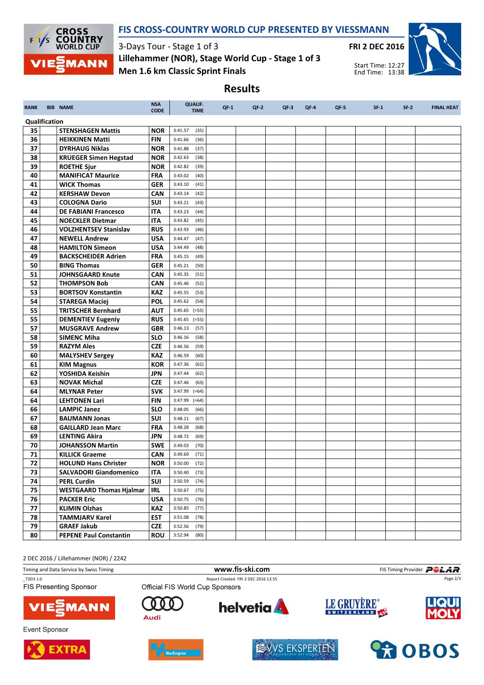

### FIS CROSS-COUNTRY WORLD CUP PRESENTED BY VIESSMANN

Results

3-Days Tour - Stage 1 of 3 Men 1.6 km Classic Sprint Finals Lillehammer (NOR), Stage World Cup - Stage 1 of 3



Start Time: 12:27 End Time: 13:38

RANK BIB NAME NAME NEWSA CODE QUALIF. TIME QF-1 QF-2 QF-3 QF-4 QF-5 SF-1 SF-2 FINAL HEAT Qualification **35 STENSHAGEN Mattis NOR 3:41.57 (35) 36 HEIKKINEN Matti** FIN 3:41.66 (36) **37 DYRHAUG Niklas NOR 3:41.88 (37) 38 KRUEGER Simen Hegstad NOR 3:42.63 (38) 39 ROETHE Sjur NOR** 3:42.82 (39) 40 MANIFICAT Maurice FRA 3:43.02 (40) **41 WICK Thomas GER** 3:43.10 (41) **42 KERSHAW Devon CAN** 3:43.14 (42) **43 COLOGNA Dario SUI 3:43.21 (43) 44 DE FABIANI Francesco ITA** 3:43.23 (44)  $\overline{45}$  NOECKLER Dietmar ITA 3:43.82 (45) **46 VOLZHENTSEV Stanislav RUS** 3:43.93 (46) **47 NEWELL Andrew JUSA** 3:44.47 (47) **48 HAMILTON Simeon** USA 3:44.49 (48) 49 BACKSCHEIDER Adrien FRA 3:45.15 (49) **50 BING Thomas GER** 3:45.21 (50) 51 JOHNSGAARD Knute CAN 3:45.35 (51) **52 THOMPSON Bob CAN** 3:45.46 (52) 53 BORTSOV Konstantin KAZ 3:45.55 (53) **54 STAREGA Maciej POL** 3:45.62 (54) **55 TRITSCHER Bernhard AUT** 3:45.65 (=55) **55 DEMENTIEV Eugeniy RUS** 3:45.65 (=55) **57 MUSGRAVE Andrew GBR** 3:46.13 (57) **58 SIMENC Miha** SLO 3:46.16 (58) **59 RAZYM Ales CZE** 3:46.56 (59) 60 MALYSHEV Sergey KAZ 3:46.59 (60) 61 | KIM Magnus | KOR | 3:47.36 (61) **62** YOSHIDA Keishin JPN 3:47.44 (62) **63** NOVAK Michal **CZE** 3:47.46 (63) 64 MLYNAR Peter SVK 3:47.99 (=64) 64 LEHTONEN Lari FIN 3:47.99 (=64) **66 LAMPIC Janez** SLO 3:48.05 (66) 67 BAUMANN Jonas SUI  $3:48.11$  (67) **68 GAILLARD Jean Marc FRA 3:48.28 (68) 69 LENTING Akira** JPN 3:48.72 (69) **70 JOHANSSON Martin SWE** 3:49.03 (70) **71 | KILLICK Graeme | CAN** | 3:49.69 (71) 72 HOLUND Hans Christer NOR 3:50.00 (72) 73 | SALVADORI Giandomenico | ITA | 3:50.40 (73) **74 PERL Curdin SUI** 3:50.59 (74) 75 WESTGAARD Thomas Hjalmar | IRL | 3:50.67 (75) **76 | PACKER Eric | USA | 3:50.75 (76) 77 | KLIMIN Olzhas | KAZ | 3:50.85 (77)** 78 | TAMMJARV Karel | EST | 3:51.08 (78) **79 GRAEF Jakub CZE** 3:52.56 (79) 80 PEPENE Paul Constantin ROU 3:52.94 (80)

2 DEC 2016 / Lillehammer (NOR) / 2242

Timing and Data Service by Swiss Timing **WWW.fis-Ski.com WWW.fis-Ski.com** FIS Timing Provider **PCLAR** 

**FIS Presenting Sponsor** 



**Event Sponsor** 





Audi





\_73D3 1.0 Report Created FRI 2 DEC 2016 13:55 Official FIS World Cup Sponsors











Page 2/3